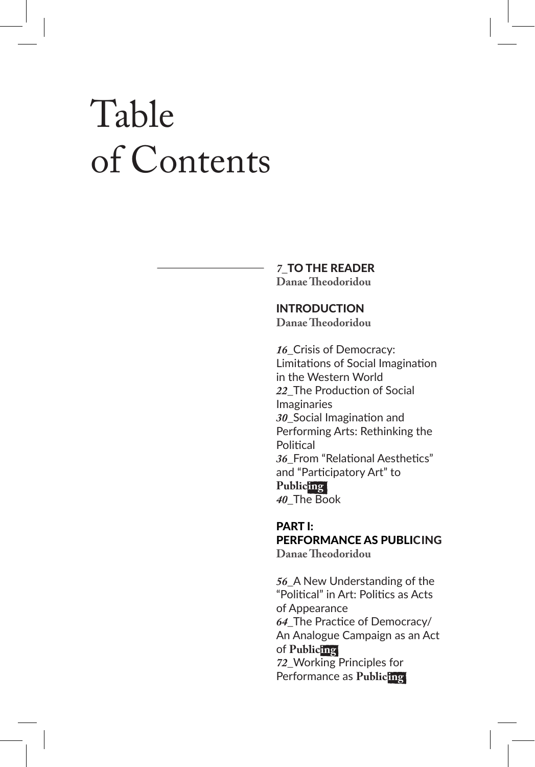# Table of Contents

#### *7\_*TO THE READER **Danae Theodoridou**

## INTRODUCTION

**Danae Theodoridou**

*16\_*Crisis of Democracy: Limitations of Social Imagination in the Western World *22\_*The Production of Social Imaginaries *30\_*Social Imagination and Performing Arts: Rethinking the **Political** *36\_*From "Relational Aesthetics" and "Participatory Art" to **Publicing** *40\_*The Book

### PART I: PERFORMANCE AS PUBLICING **Danae Theodoridou**

*56\_*A New Understanding of the "Political" in Art: Politics as Acts of Appearance *64\_*The Practice of Democracy/ An Analogue Campaign as an Act of **Publicing** *72\_*Working Principles for Performance as **Publicing**